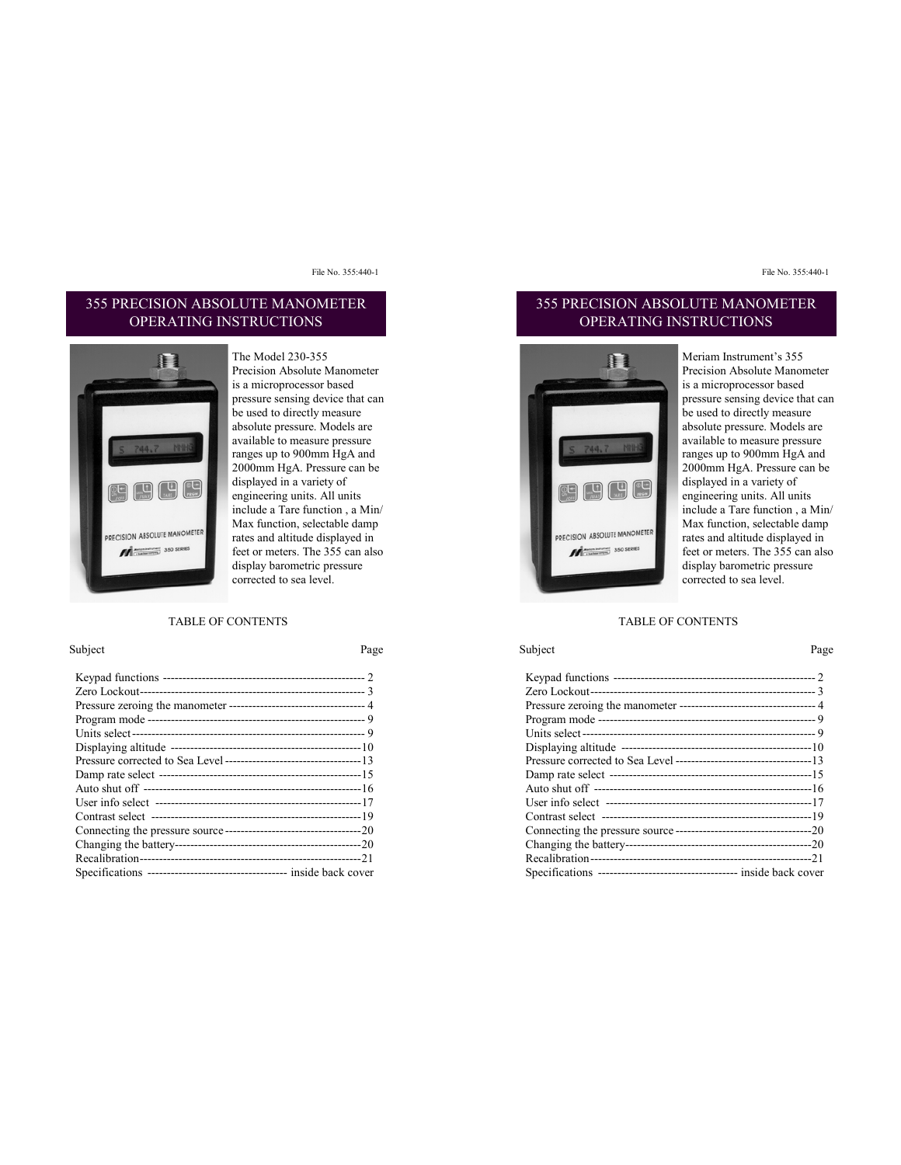### 355 PRECISION ABSOLUTE MANOMETER OPERATING INSTRUCTIONS



The Model 230-355 Precision Absolute Manometer is a microprocessor based pressure sensing device that can be used to directly measure absolute pressure. Models are available to measure pressure ranges up to 900mm HgA and 2000mm HgA. Pressure can be displayed in a variety of engineering units. All units include a Tare function , a Min/ Max function, selectable damp rates and altitude displayed in feet or meters. The 355 can also display barometric pressure corrected to sea level.

#### TABLE OF CONTENTS

#### Subject Page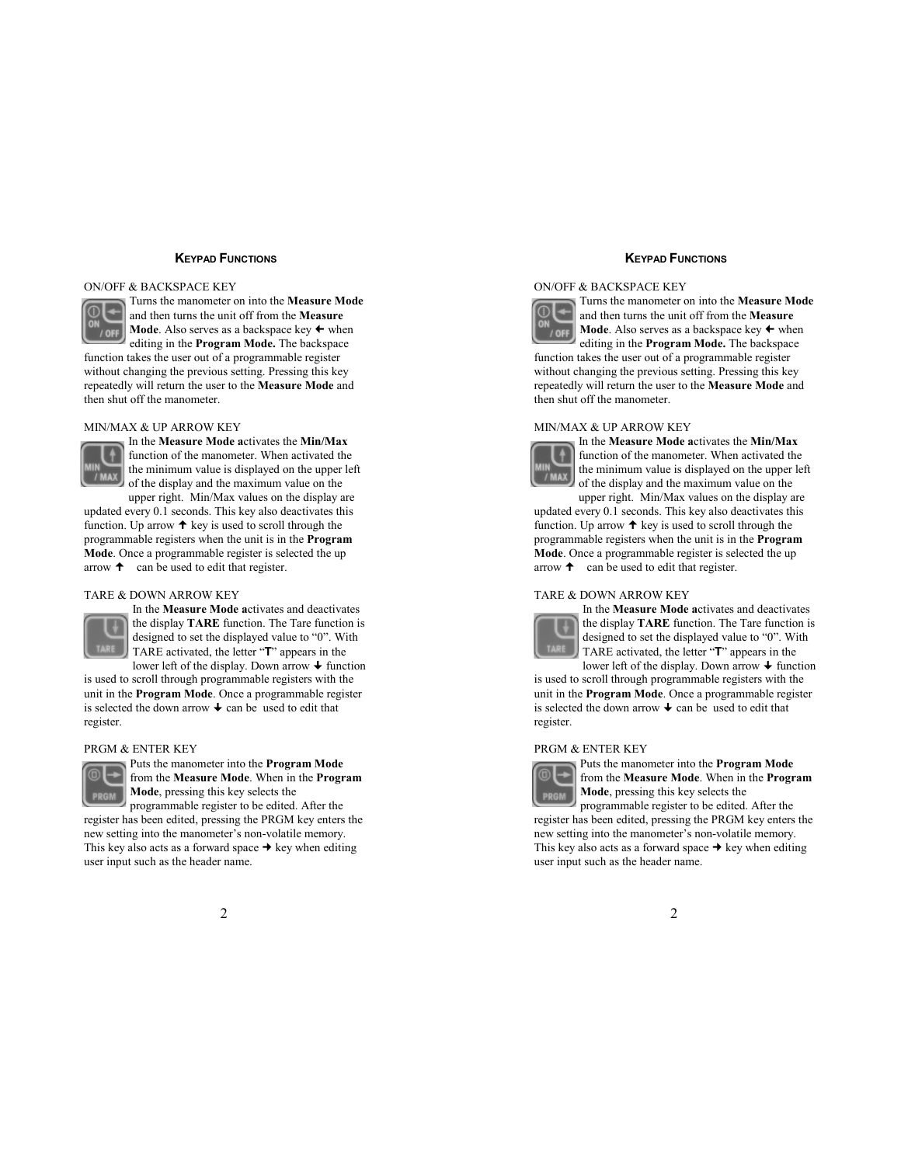### **KEYPAD FUNCTIONS**

#### ON/OFF & BACKSPACE KEY



Turns the manometer on into the **Measure Mode** and then turns the unit off from the **Measure Mode**. Also serves as a backspace key  $\leftarrow$  when editing in the **Program Mode.** The backspace

function takes the user out of a programmable register without changing the previous setting. Pressing this key repeatedly will return the user to the **Measure Mode** and then shut off the manometer.

#### MIN/MAX & UP ARROW KEY



In the **Measure Mode a**ctivates the **Min/Max** function of the manometer. When activated the the minimum value is displayed on the upper left of the display and the maximum value on the

upper right. Min/Max values on the display are updated every 0.1 seconds. This key also deactivates this function. Up arrow  $\uparrow$  key is used to scroll through the programmable registers when the unit is in the **Program Mode**. Once a programmable register is selected the up arrow  $\uparrow$  can be used to edit that register.

#### TARE & DOWN ARROW KEY



In the **Measure Mode a**ctivates and deactivates the display **TARE** function. The Tare function is designed to set the displayed value to "0". With TARE activated, the letter "**T**" appears in the lower left of the display. Down arrow  $\rightarrow$  function

is used to scroll through programmable registers with the unit in the **Program Mode**. Once a programmable register is selected the down arrow  $\triangle$  can be used to edit that register.

#### PRGM & ENTER KEY



Puts the manometer into the **Program Mode** from the **Measure Mode**. When in the **Program Mode**, pressing this key selects the programmable register to be edited. After the

register has been edited, pressing the PRGM key enters the new setting into the manometer's non-volatile memory. This key also acts as a forward space  $\rightarrow$  key when editing user input such as the header name.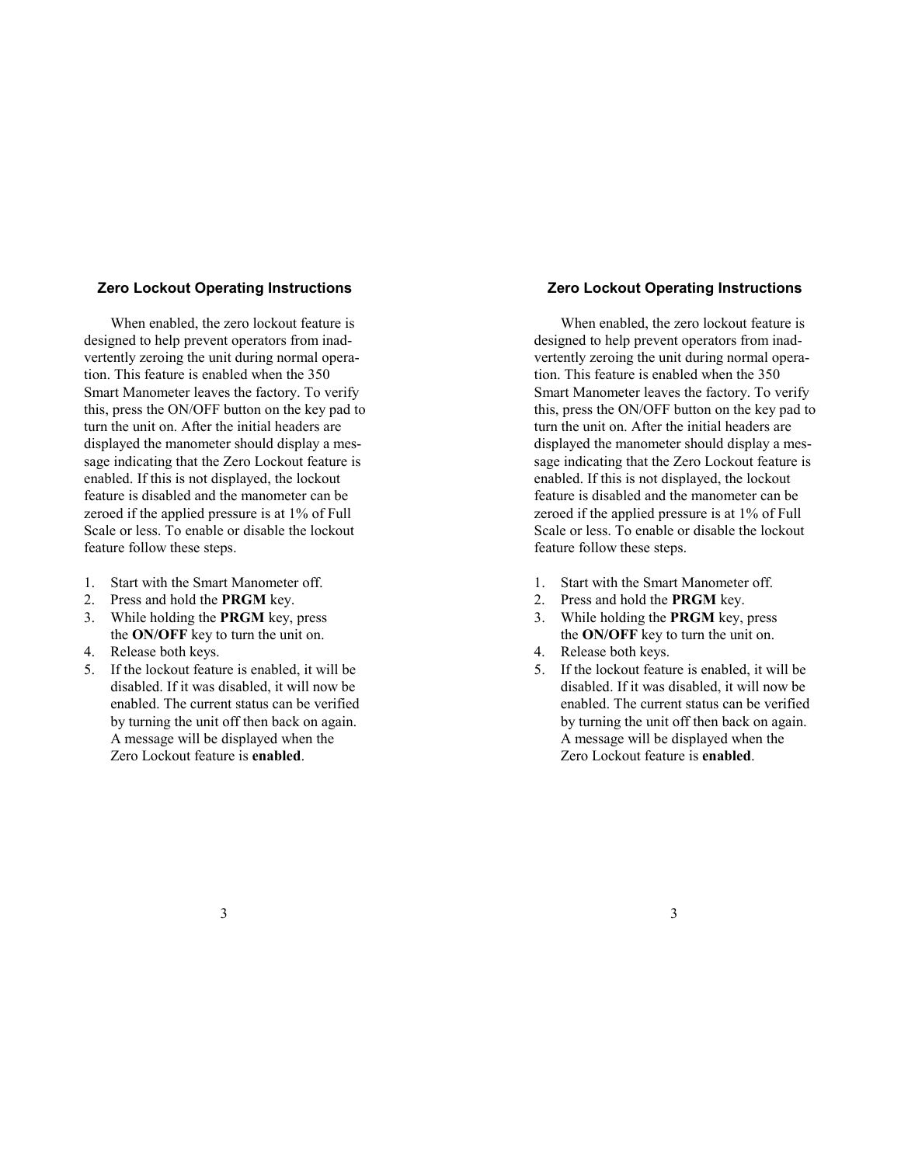# **Zero Lockout Operating Instructions**

When enabled, the zero lockout feature is designed to help prevent operators from inadvertently zeroing the unit during normal operation. This feature is enabled when the 350 Smart Manometer leaves the factory. To verify this, press the ON/OFF button on the key pad to turn the unit on. After the initial headers are displayed the manometer should display a message indicating that the Zero Lockout feature is enabled. If this is not displayed, the lockout feature is disabled and the manometer can be zeroed if the applied pressure is at 1% of Full Scale or less. To enable or disable the lockout feature follow these steps.

- 1. Start with the Smart Manometer off.
- 2. Press and hold the **PRGM** key.
- 3. While holding the **PRGM** key, press the **ON/OFF** key to turn the unit on.
- 4. Release both keys.
- 5. If the lockout feature is enabled, it will be disabled. If it was disabled, it will now be enabled. The current status can be verified by turning the unit off then back on again. A message will be displayed when the Zero Lockout feature is **enabled**.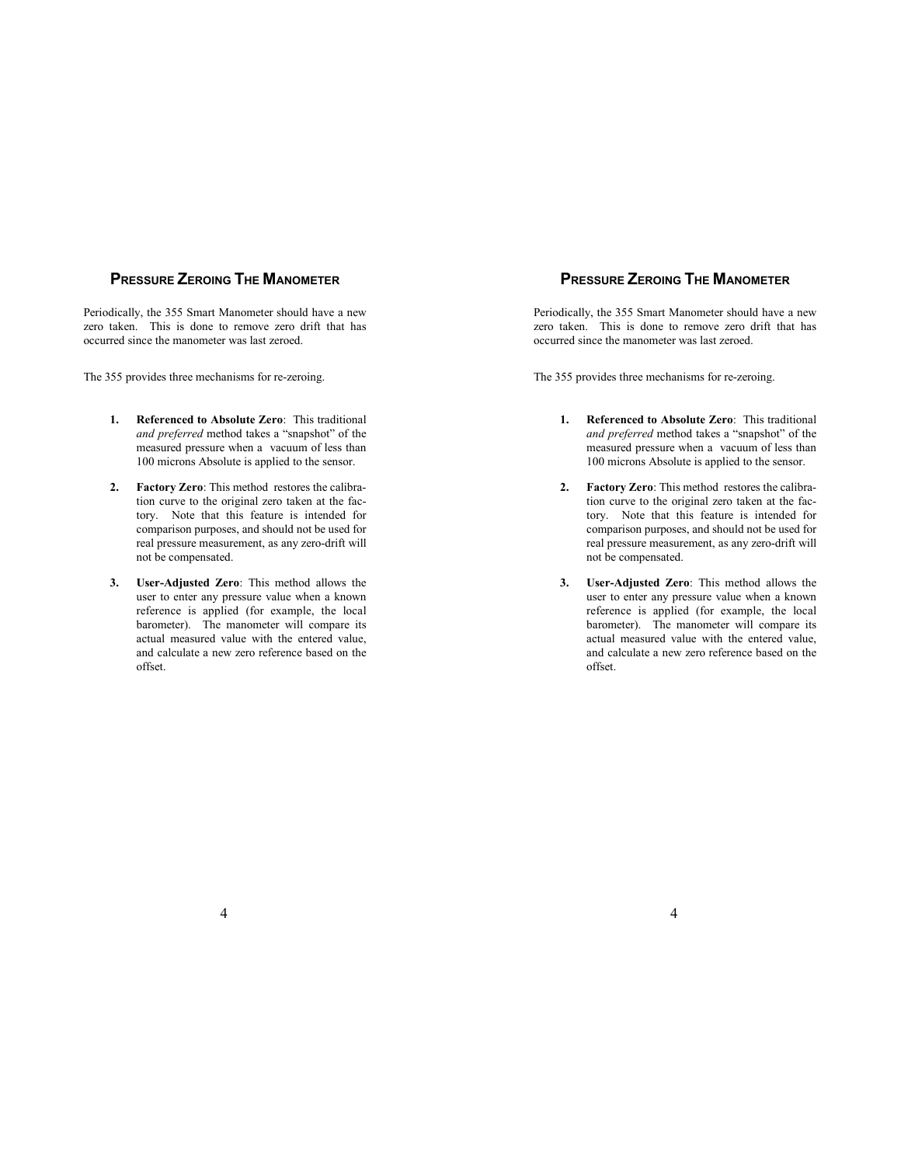# **PRESSURE ZEROING THE MANOMETER**

Periodically, the 355 Smart Manometer should have a new zero taken. This is done to remove zero drift that has occurred since the manometer was last zeroed.

The 355 provides three mechanisms for re-zeroing.

- **1. Referenced to Absolute Zero**: This traditional *and preferred* method takes a "snapshot" of the measured pressure when a vacuum of less than 100 microns Absolute is applied to the sensor.
- **2. Factory Zero**: This method restores the calibration curve to the original zero taken at the factory. Note that this feature is intended for comparison purposes, and should not be used for real pressure measurement, as any zero-drift will not be compensated.
- **3. User-Adjusted Zero**: This method allows the user to enter any pressure value when a known reference is applied (for example, the local barometer). The manometer will compare its actual measured value with the entered value, and calculate a new zero reference based on the offset.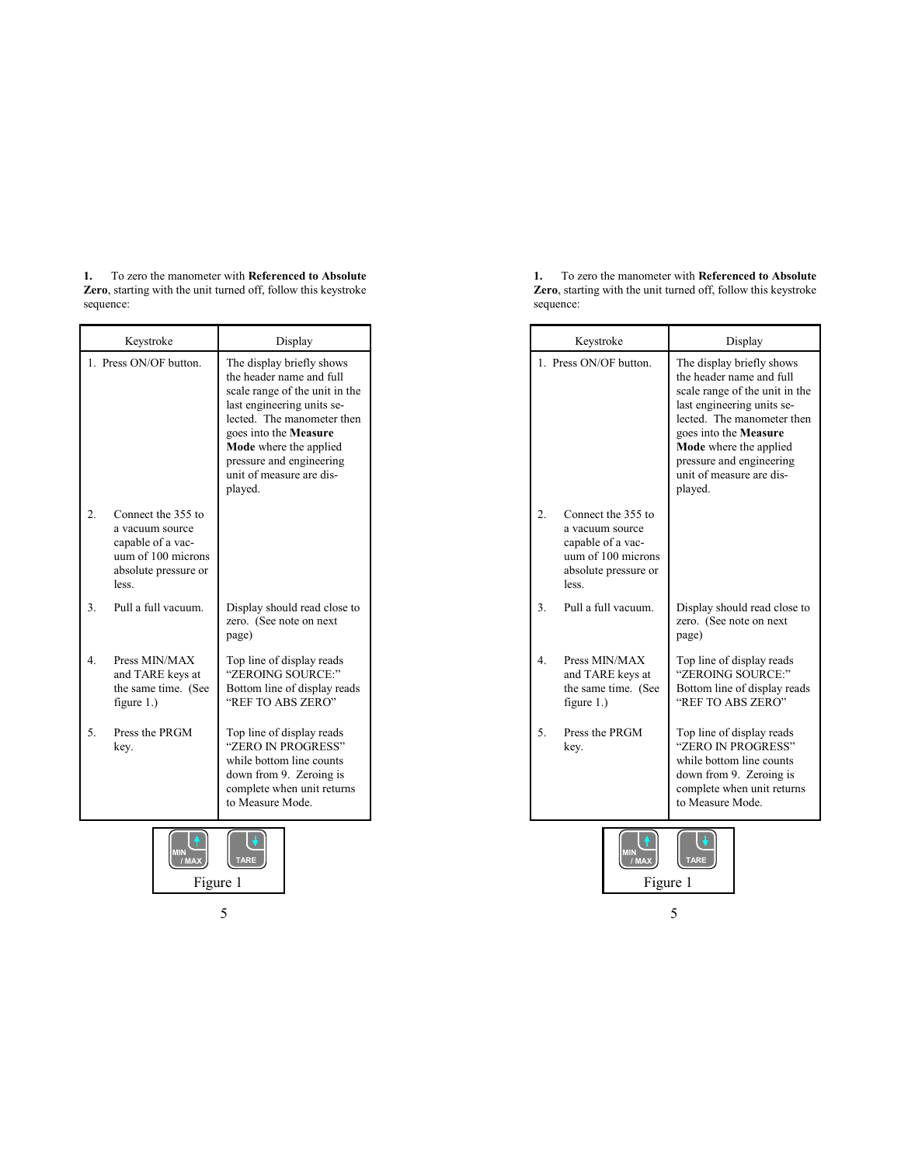**1.** To zero the manometer with **Referenced to Absolute Zero**, starting with the unit turned off, follow this keystroke sequence:

|                  | Keystroke                                                                                                         | Display                                                                                                                                                                                                                                                                          |
|------------------|-------------------------------------------------------------------------------------------------------------------|----------------------------------------------------------------------------------------------------------------------------------------------------------------------------------------------------------------------------------------------------------------------------------|
|                  | 1. Press ON/OF button.                                                                                            | The display briefly shows<br>the header name and full<br>scale range of the unit in the<br>last engineering units se-<br>lected. The manometer then<br>goes into the <b>Measure</b><br>Mode where the applied<br>pressure and engineering<br>unit of measure are dis-<br>played. |
| $\overline{2}$ . | Connect the 355 to<br>a vacuum source<br>capable of a vac-<br>uum of 100 microns<br>absolute pressure or<br>less. |                                                                                                                                                                                                                                                                                  |
| $\overline{3}$ . | Pull a full vacuum.                                                                                               | Display should read close to<br>zero. (See note on next<br>page)                                                                                                                                                                                                                 |
| 4.               | Press MIN/MAX<br>and TARE keys at<br>the same time. (See<br>figure $1.$ )                                         | Top line of display reads<br>"ZEROING SOURCE:"<br>Bottom line of display reads<br>"REF TO ABS ZERO"                                                                                                                                                                              |
| 5.               | Press the PRGM<br>key.                                                                                            | Top line of display reads<br>"ZERO IN PROGRESS"<br>while bottom line counts<br>down from 9. Zeroing is<br>complete when unit returns<br>to Measure Mode.                                                                                                                         |

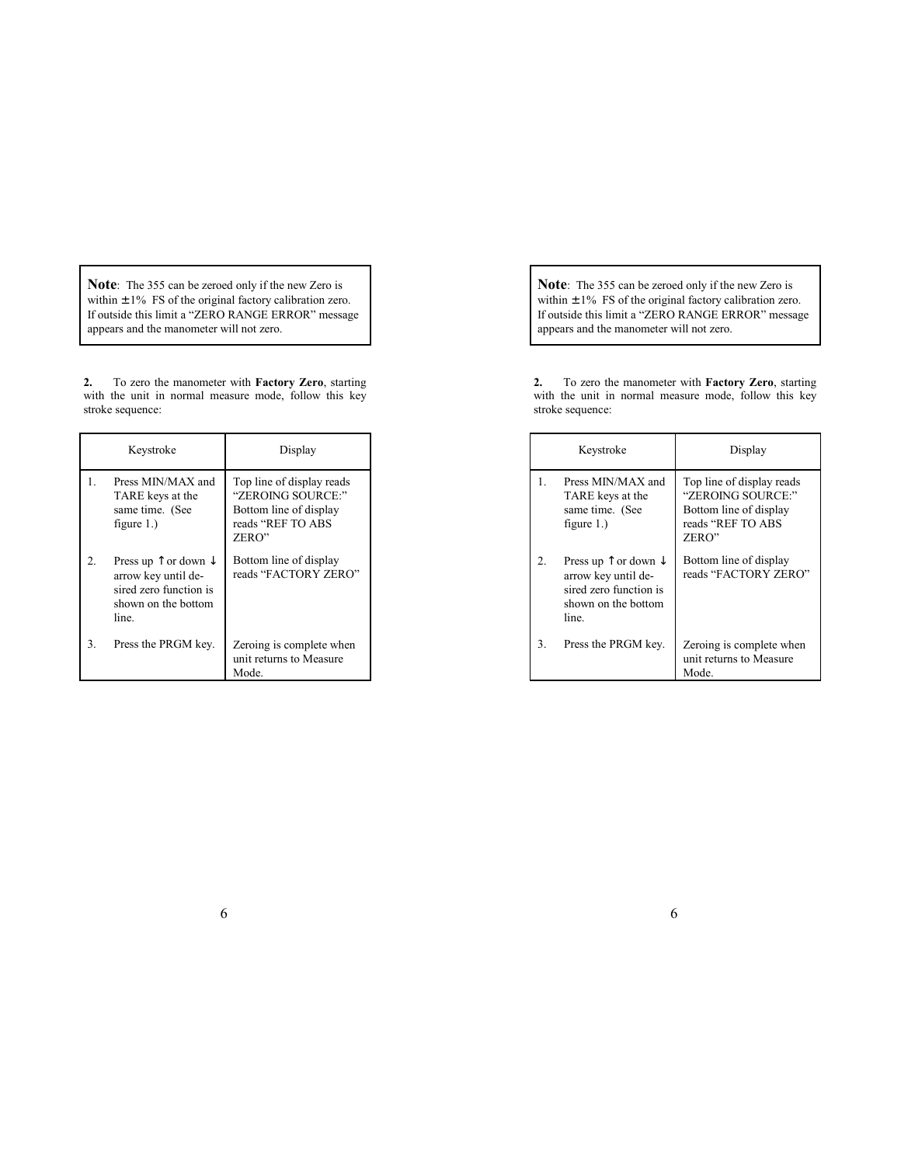**Note**: The 355 can be zeroed only if the new Zero is within  $\pm 1\%$  FS of the original factory calibration zero. If outside this limit a "ZERO RANGE ERROR" message appears and the manometer will not zero.

**2.** To zero the manometer with **Factory Zero**, starting with the unit in normal measure mode, follow this key stroke sequence:

|         | Keystroke                                                                                                                 | Display                                                                                                |
|---------|---------------------------------------------------------------------------------------------------------------------------|--------------------------------------------------------------------------------------------------------|
| 1.      | Press MIN/MAX and<br>TARE keys at the<br>same time. (See<br>figure $1.$ )                                                 | Top line of display reads<br>"ZEROING SOURCE:"<br>Bottom line of display<br>reads "REF TO ABS<br>ZERO" |
| $2_{-}$ | Press up $\uparrow$ or down $\downarrow$<br>arrow key until de-<br>sired zero function is<br>shown on the bottom<br>line. | Bottom line of display<br>reads "FACTORY ZERO"                                                         |
| 3.      | Press the PRGM key.                                                                                                       | Zeroing is complete when<br>unit returns to Measure<br>Mode.                                           |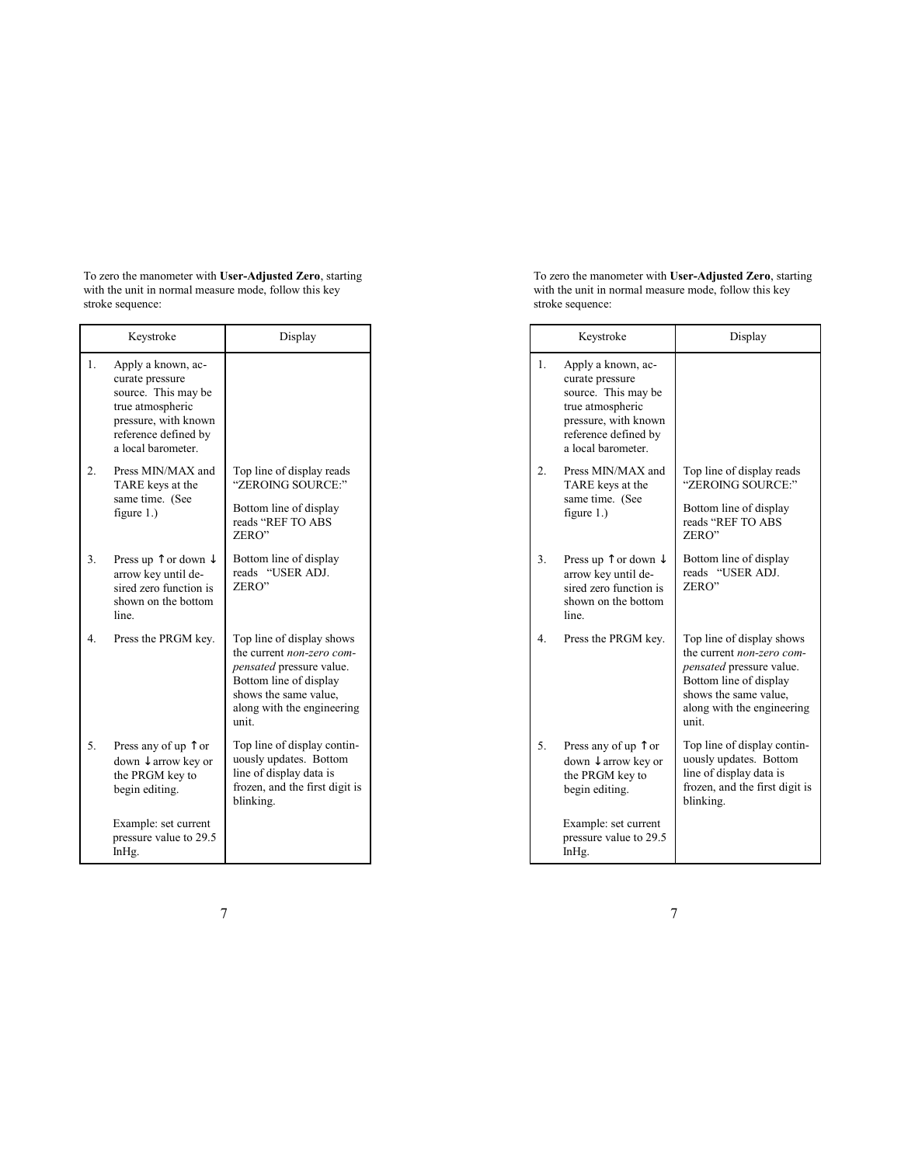To zero the manometer with **User-Adjusted Zero**, starting with the unit in normal measure mode, follow this key stroke sequence:

|                  | Keystroke                                                                                                                                              | Display                                                                                                                                                                            |
|------------------|--------------------------------------------------------------------------------------------------------------------------------------------------------|------------------------------------------------------------------------------------------------------------------------------------------------------------------------------------|
| 1.               | Apply a known, ac-<br>curate pressure<br>source. This may be<br>true atmospheric<br>pressure, with known<br>reference defined by<br>a local barometer. |                                                                                                                                                                                    |
| $\overline{2}$ . | Press MIN/MAX and<br>TARE keys at the<br>same time. (See<br>figure $1.$ )                                                                              | Top line of display reads<br>"ZEROING SOURCE:"<br>Bottom line of display<br>reads "REF TO ABS<br>ZERO"                                                                             |
| 3.               | Press up $\uparrow$ or down $\downarrow$<br>arrow key until de-<br>sired zero function is<br>shown on the bottom<br>line.                              | Bottom line of display<br>"USER ADJ.<br>reads<br>ZERO"                                                                                                                             |
| 4.               | Press the PRGM key.                                                                                                                                    | Top line of display shows<br>the current <i>non-zero com-</i><br>pensated pressure value.<br>Bottom line of display<br>shows the same value.<br>along with the engineering<br>unit |
| 5.               | Press any of up $\uparrow$ or<br>down $\downarrow$ arrow key or<br>the PRGM key to<br>begin editing.                                                   | Top line of display contin-<br>uously updates. Bottom<br>line of display data is<br>frozen, and the first digit is<br>blinking.                                                    |
|                  | Example: set current<br>pressure value to 29.5<br>InHg.                                                                                                |                                                                                                                                                                                    |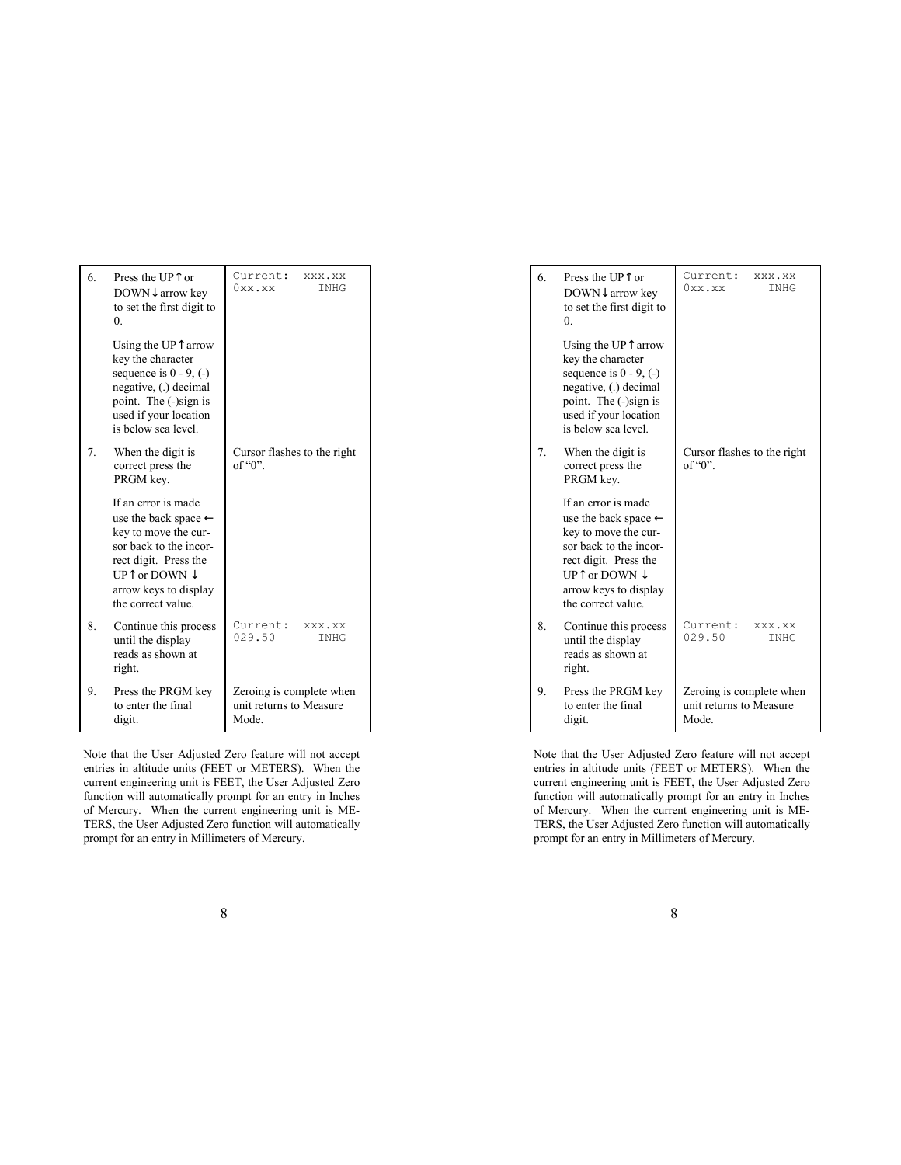| 6. | Press the UPT or<br>DOWN↓ arrow key<br>to set the first digit to<br>0                                                                                                                                        | Current:<br>XXX.XX<br>0xx.xx<br>INHG                         |
|----|--------------------------------------------------------------------------------------------------------------------------------------------------------------------------------------------------------------|--------------------------------------------------------------|
|    | Using the UPT arrow<br>key the character<br>sequence is $0 - 9$ , $(-)$<br>negative, (.) decimal<br>point. The (-)sign is<br>used if your location<br>is below sea level.                                    |                                                              |
| 7. | When the digit is<br>correct press the<br>PRGM key.                                                                                                                                                          | Cursor flashes to the right<br>of " $0$ ".                   |
|    | If an error is made<br>use the back space $\leftarrow$<br>key to move the cur-<br>sor back to the incor-<br>rect digit. Press the<br>UPT or DOWN $\downarrow$<br>arrow keys to display<br>the correct value. |                                                              |
| 8. | Continue this process<br>until the display<br>reads as shown at<br>right.                                                                                                                                    | Current:<br>XXX.XX<br>029.50<br>INHG                         |
| 9. | Press the PRGM key<br>to enter the final<br>digit.                                                                                                                                                           | Zeroing is complete when<br>unit returns to Measure<br>Mode. |

Note that the User Adjusted Zero feature will not accept entries in altitude units (FEET or METERS). When the current engineering unit is FEET, the User Adjusted Zero function will automatically prompt for an entry in Inches of Mercury. When the current engineering unit is ME-TERS, the User Adjusted Zero function will automatically prompt for an entry in Millimeters of Mercury.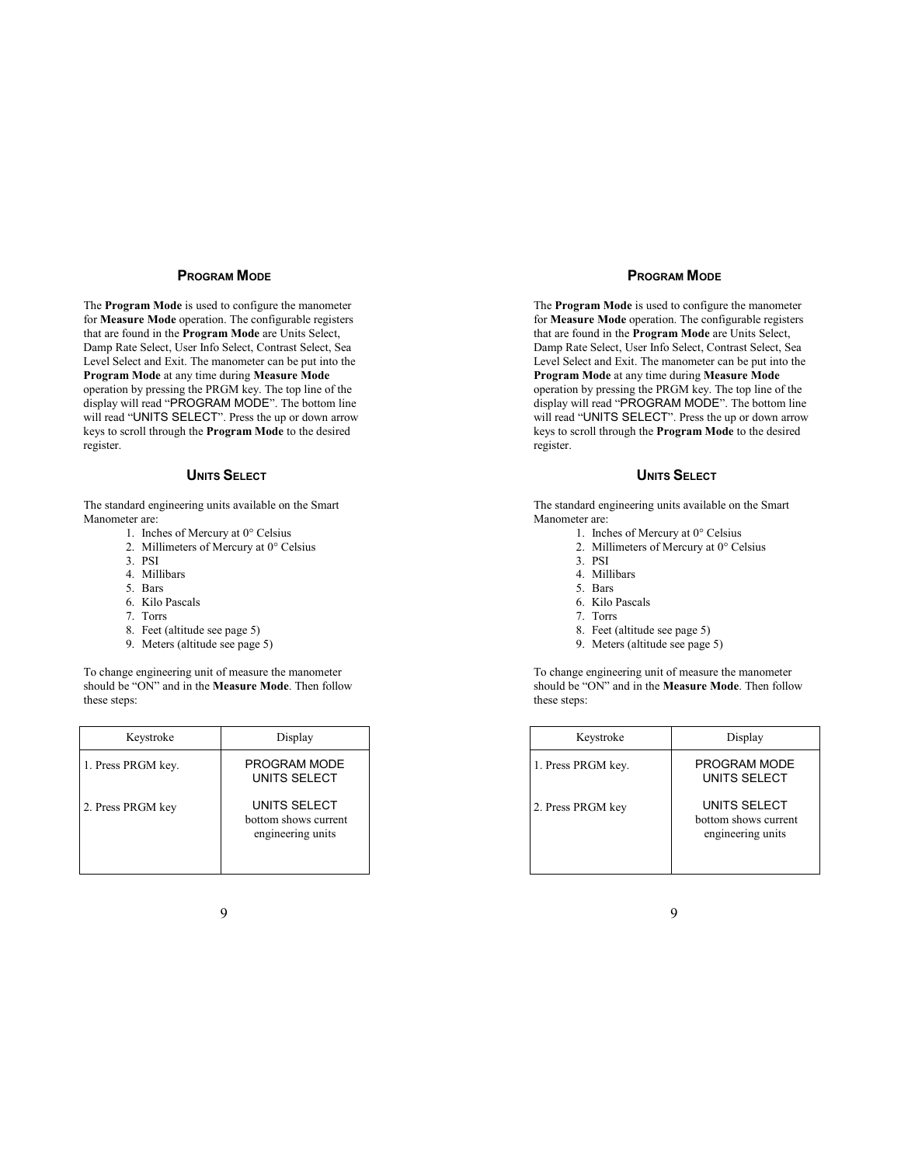The **Program Mode** is used to configure the manometer for **Measure Mode** operation. The configurable registers that are found in the **Program Mode** are Units Select, Damp Rate Select, User Info Select, Contrast Select, Sea Level Select and Exit. The manometer can be put into the **Program Mode** at any time during **Measure Mode** operation by pressing the PRGM key. The top line of the display will read "PROGRAM MODE". The bottom line will read "UNITS SELECT". Press the up or down arrow keys to scroll through the **Program Mode** to the desired register.

# **UNITS SELECT**

The standard engineering units available on the Smart Manometer are:

- 1. Inches of Mercury at 0° Celsius
- 2. Millimeters of Mercury at 0° Celsius
- 3. PSI
- 4. Millibars
- 5. Bars
- 6. Kilo Pascals
- 7. Torrs
- 8. Feet (altitude see page 5)
- 9. Meters (altitude see page 5)

To change engineering unit of measure the manometer should be "ON" and in the **Measure Mode**. Then follow these steps:

| Keystroke          | Display                                                   |
|--------------------|-----------------------------------------------------------|
| 1. Press PRGM key. | PROGRAM MODE<br>UNITS SELECT                              |
| 2. Press PRGM key  | UNITS SELECT<br>bottom shows current<br>engineering units |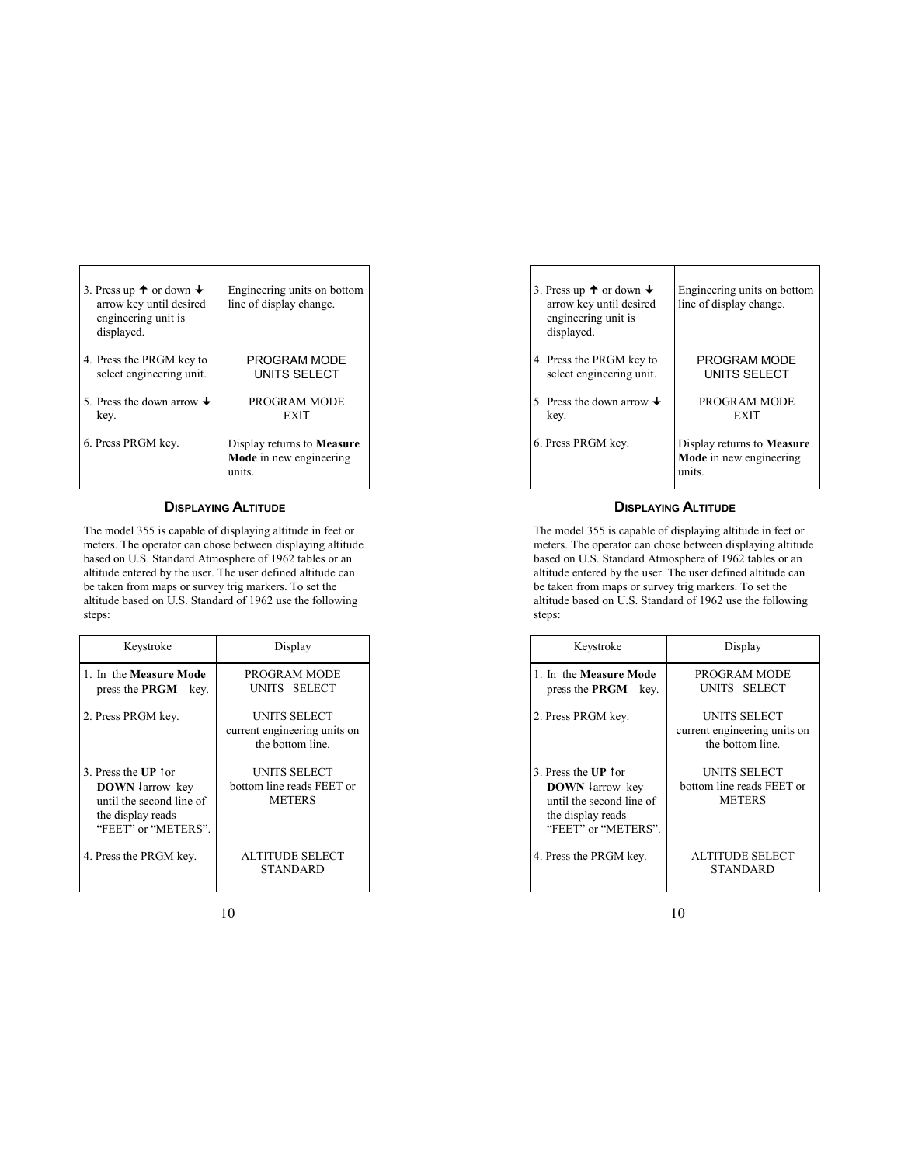| 3. Press up $\uparrow$ or down $\downarrow$<br>arrow key until desired<br>engineering unit is<br>displayed. | Engineering units on bottom<br>line of display change.                 |
|-------------------------------------------------------------------------------------------------------------|------------------------------------------------------------------------|
| 4. Press the PRGM key to                                                                                    | PROGRAM MODE                                                           |
| select engineering unit.                                                                                    | UNITS SELECT                                                           |
| 5. Press the down arrow $\downarrow$                                                                        | PROGRAM MODE                                                           |
| key.                                                                                                        | EXIT                                                                   |
| 6. Press PRGM key.                                                                                          | Display returns to Measure<br><b>Mode</b> in new engineering<br>units. |

Τ

 $\overline{1}$ 

### **DISPLAYING ALTITUDE**

The model 355 is capable of displaying altitude in feet or meters. The operator can chose between displaying altitude based on U.S. Standard Atmosphere of 1962 tables or an altitude entered by the user. The user defined altitude can be taken from maps or survey trig markers. To set the altitude based on U.S. Standard of 1962 use the following steps:

| Keystroke                                                                                                                        | Display                                                          |
|----------------------------------------------------------------------------------------------------------------------------------|------------------------------------------------------------------|
| 1. In the Measure Mode<br>press the <b>PRGM</b> key.                                                                             | PROGRAM MODE<br>UNITS SELECT                                     |
| 2. Press PRGM key.                                                                                                               | UNITS SELECT<br>current engineering units on<br>the bottom line. |
| 3 Press the UP for<br><b>DOWN</b> $\downarrow$ arrow key<br>until the second line of<br>the display reads<br>"FEET" or "METERS". | UNITS SELECT<br>bottom line reads FEET or<br><b>METERS</b>       |
| 4. Press the PRGM key.                                                                                                           | ALTITUDE SELECT<br><b>STANDARD</b>                               |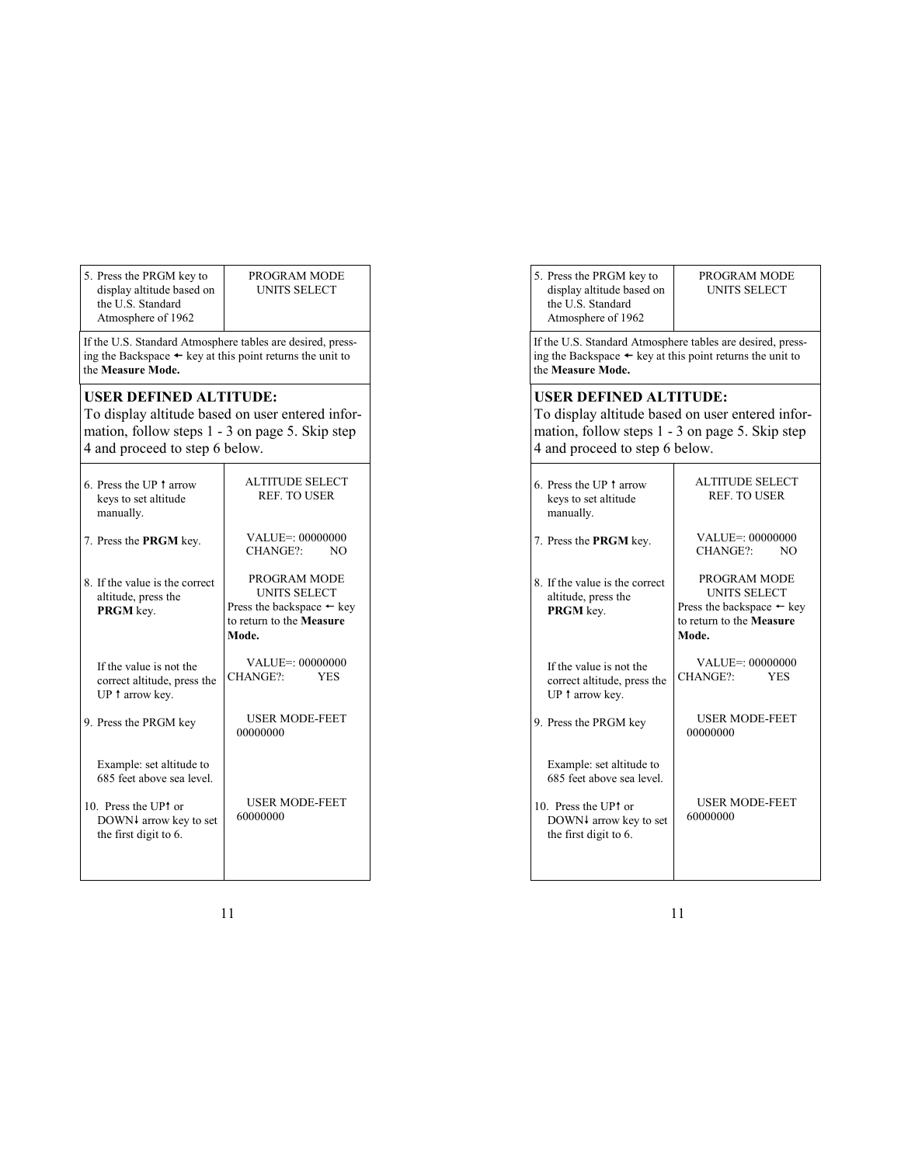| 5. Press the PRGM key to  |
|---------------------------|
| display altitude based on |
| the U.S. Standard         |
| Atmosphere of 1962        |

#### PROGRAM MODE UNITS SELECT

If the U.S. Standard Atmosphere tables are desired, pressing the Backspace  $\leftarrow$  key at this point returns the unit to the **Measure Mode.**

# **USER DEFINED ALTITUDE:**

To display altitude based on user entered information, follow steps 1 - 3 on page 5. Skip step 4 and proceed to step 6 below.

| <b>ALTITUDE SELECT</b><br><b>REF. TO USER</b>                                                                    |
|------------------------------------------------------------------------------------------------------------------|
| VALUE=: 00000000<br>CHANGE?:<br>NO.                                                                              |
| PROGRAM MODE<br><b>UNITS SELECT</b><br>Press the backspace $\leftarrow$ key<br>to return to the Measure<br>Mode. |
| VALUEE: 00000000<br>CHANGE?:<br><b>YES</b>                                                                       |
| <b>USER MODE-FEET</b><br>00000000                                                                                |
| <b>USER MODE-FEET</b><br>60000000                                                                                |
|                                                                                                                  |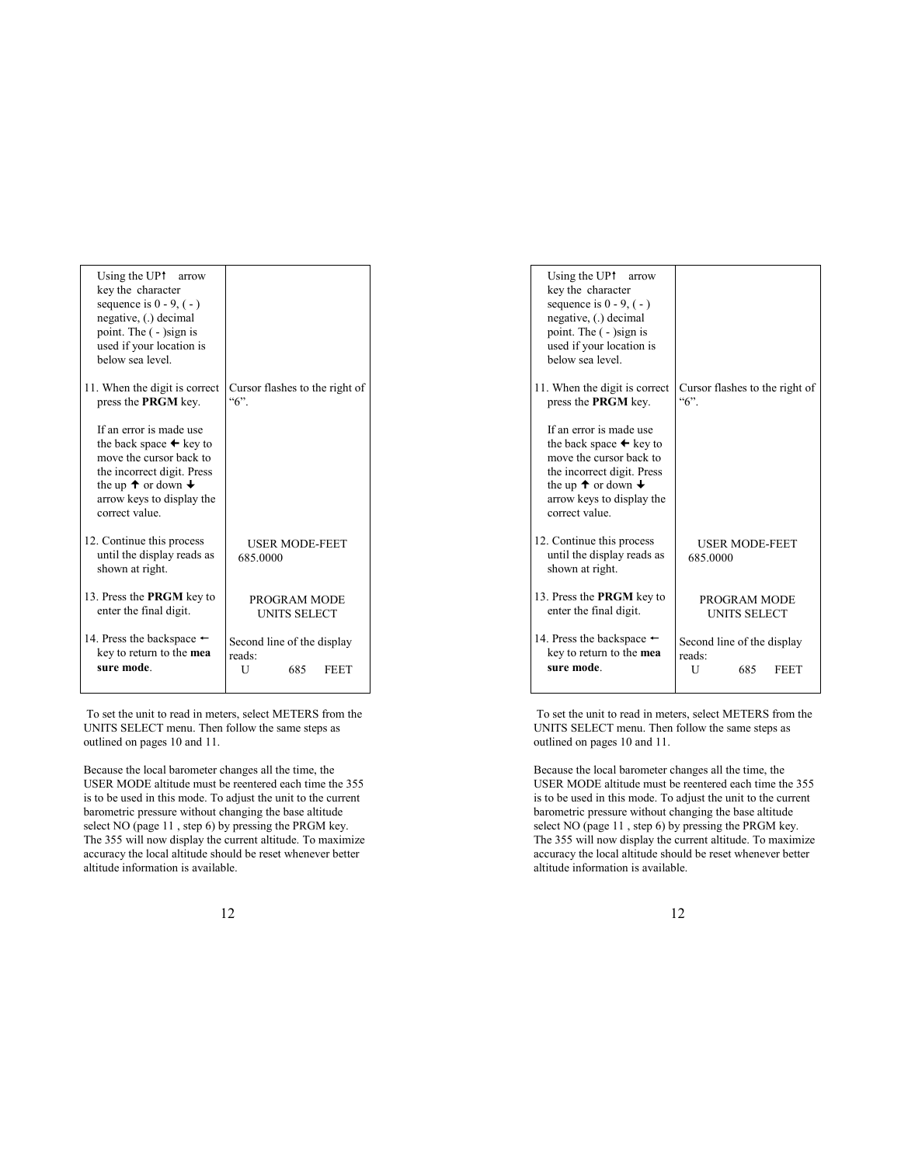| Using the UP†<br>arrow<br>key the character<br>sequence is $0 - 9$ , $(-)$<br>negative, (.) decimal<br>point. The ( - )sign is<br>used if your location is<br>below sea level.                                  |                                                                 |
|-----------------------------------------------------------------------------------------------------------------------------------------------------------------------------------------------------------------|-----------------------------------------------------------------|
| 11. When the digit is correct<br>press the PRGM key.                                                                                                                                                            | Cursor flashes to the right of<br>``6"                          |
| If an error is made use<br>the back space $\leftarrow$ key to<br>move the cursor back to<br>the incorrect digit. Press<br>the up $\uparrow$ or down $\downarrow$<br>arrow keys to display the<br>correct value. |                                                                 |
| 12. Continue this process<br>until the display reads as<br>shown at right.                                                                                                                                      | <b>USER MODE-FEET</b><br>685.0000                               |
| 13. Press the <b>PRGM</b> key to<br>enter the final digit.                                                                                                                                                      | PROGRAM MODE<br><b>UNITS SELECT</b>                             |
| 14. Press the backspace $\leftarrow$<br>key to return to the <b>mea</b><br>sure mode.                                                                                                                           | Second line of the display<br>reads:<br>U<br>685<br><b>FEET</b> |

 To set the unit to read in meters, select METERS from the UNITS SELECT menu. Then follow the same steps as outlined on pages 10 and 11.

Because the local barometer changes all the time, the USER MODE altitude must be reentered each time the 355 is to be used in this mode. To adjust the unit to the current barometric pressure without changing the base altitude select NO (page 11 , step 6) by pressing the PRGM key. The 355 will now display the current altitude. To maximize accuracy the local altitude should be reset whenever better altitude information is available.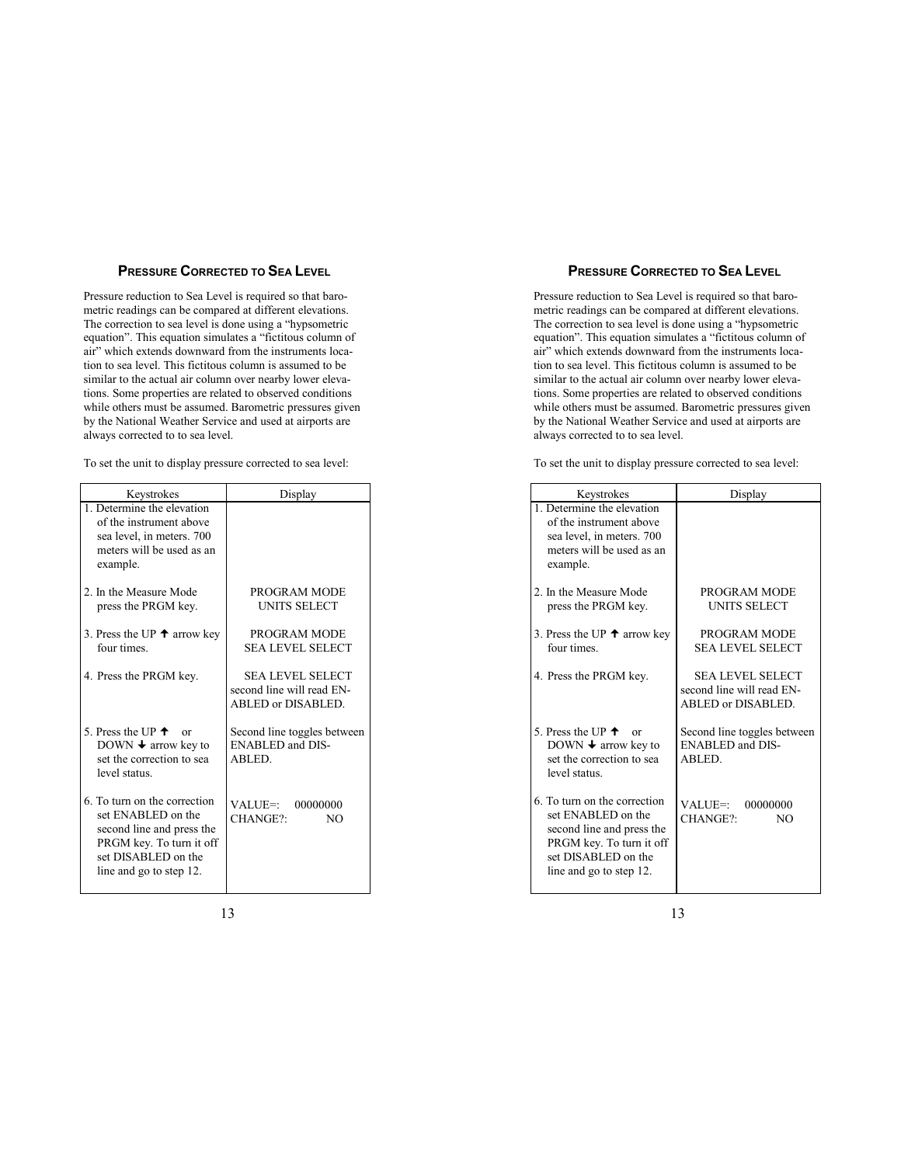# **PRESSURE CORRECTED TO SEA LEVEL**

Pressure reduction to Sea Level is required so that barometric readings can be compared at different elevations. The correction to sea level is done using a "hypsometric equation". This equation simulates a "fictitous column of air" which extends downward from the instruments location to sea level. This fictitous column is assumed to be similar to the actual air column over nearby lower elevations. Some properties are related to observed conditions while others must be assumed. Barometric pressures given by the National Weather Service and used at airports are always corrected to to sea level.

| Keystrokes                                                                                                                                                    | Display                                                                    |
|---------------------------------------------------------------------------------------------------------------------------------------------------------------|----------------------------------------------------------------------------|
| 1. Determine the elevation<br>of the instrument above<br>sea level, in meters. 700<br>meters will be used as an<br>example.                                   |                                                                            |
| 2. In the Measure Mode<br>press the PRGM key.                                                                                                                 | <b>PROGRAM MODE</b><br><b>UNITS SELECT</b>                                 |
| 3. Press the UP $\uparrow$ arrow key<br>four times                                                                                                            | PROGRAM MODE<br><b>SEA LEVEL SELECT</b>                                    |
| 4. Press the PRGM key.                                                                                                                                        | <b>SEA LEVEL SELECT</b><br>second line will read EN-<br>ABLED or DISABLED. |
| 5. Press the UP $\uparrow$<br>$\alpha$<br>DOWN $\blacktriangleright$ arrow key to<br>set the correction to sea<br>level status.                               | Second line toggles between<br><b>ENABLED and DIS-</b><br>ABLED.           |
| 6. To turn on the correction<br>set ENABLED on the<br>second line and press the<br>PRGM key. To turn it off<br>set DISABLED on the<br>line and go to step 12. | VALUE=:<br>00000000<br>CHANGE?:<br>N <sub>O</sub>                          |

To set the unit to display pressure corrected to sea level: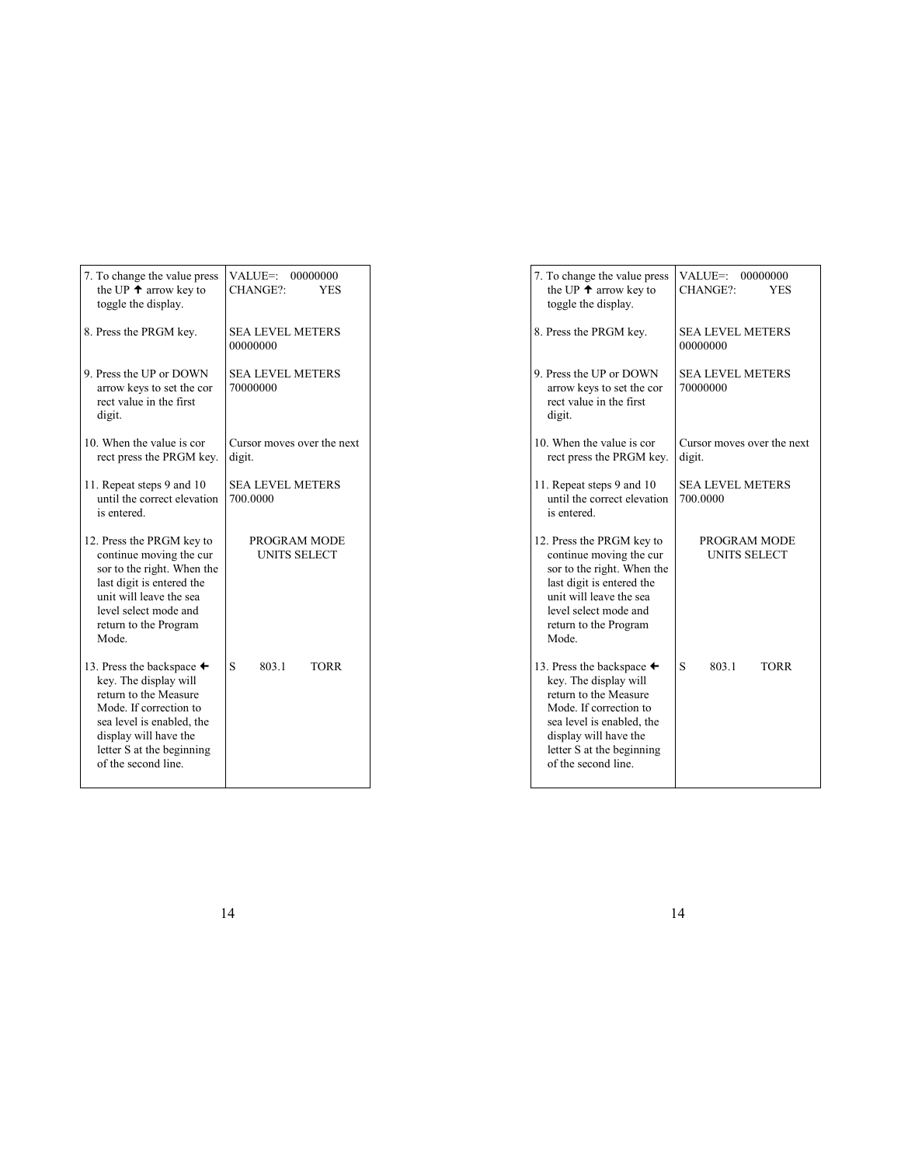| 7. To change the value press<br>the UP $\uparrow$ arrow key to<br>toggle the display.                                                                                                                                         | VALUE=: 00000000<br>CHANGE?:<br><b>YES</b> |
|-------------------------------------------------------------------------------------------------------------------------------------------------------------------------------------------------------------------------------|--------------------------------------------|
| 8. Press the PRGM key.                                                                                                                                                                                                        | <b>SEA LEVEL METERS</b><br>00000000        |
| 9. Press the UP or DOWN<br>arrow keys to set the cor<br>rect value in the first<br>digit.                                                                                                                                     | <b>SEA LEVEL METERS</b><br>70000000        |
| 10. When the value is cor<br>rect press the PRGM key.                                                                                                                                                                         | Cursor moves over the next<br>digit.       |
| 11. Repeat steps 9 and 10<br>until the correct elevation<br>is entered.                                                                                                                                                       | <b>SEA LEVEL METERS</b><br>700.0000        |
| 12. Press the PRGM key to<br>continue moving the cur<br>sor to the right. When the<br>last digit is entered the<br>unit will leave the sea<br>level select mode and<br>return to the Program<br>Mode.                         | PROGRAM MODE<br><b>UNITS SELECT</b>        |
| 13. Press the backspace $\triangleleft$<br>key. The display will<br>return to the Measure<br>Mode. If correction to<br>sea level is enabled, the<br>display will have the<br>letter S at the beginning<br>of the second line. | S<br>8031<br><b>TORR</b>                   |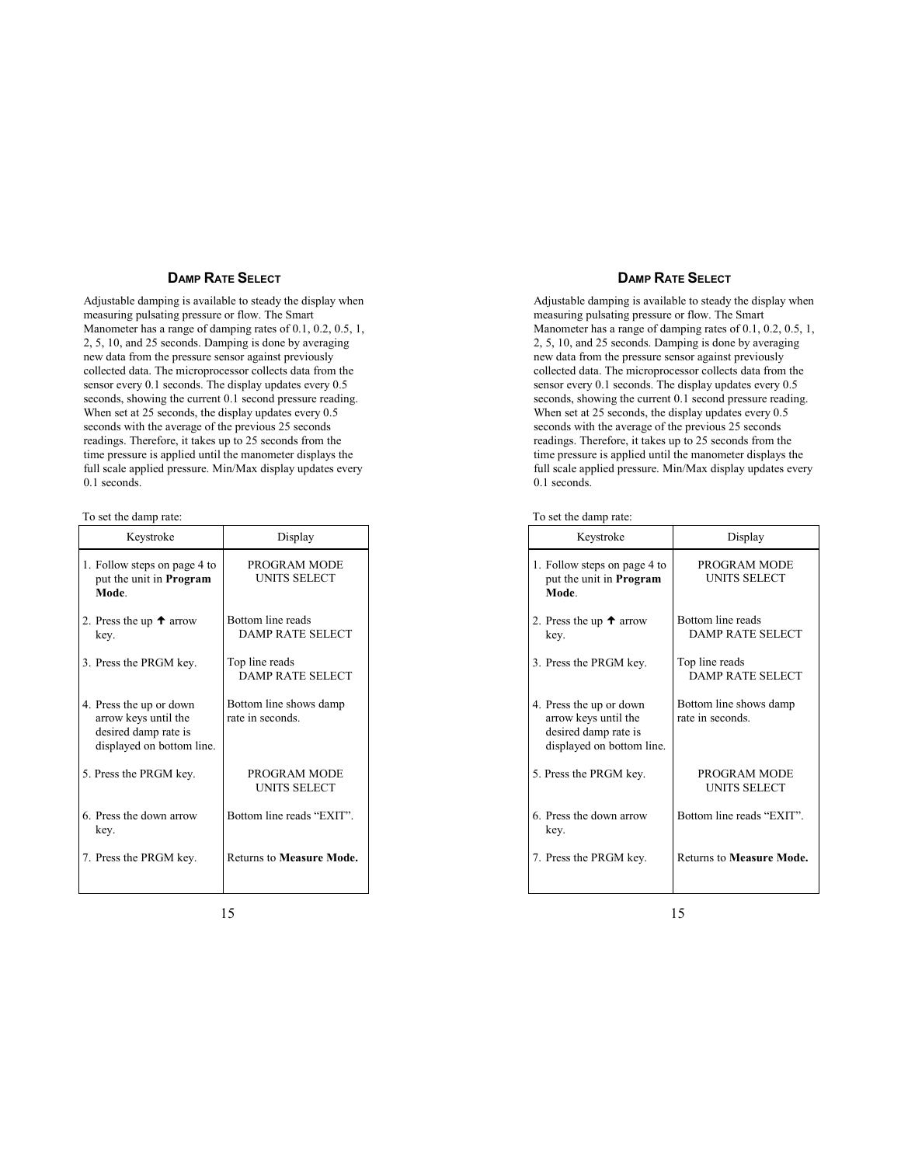## **DAMP RATE SELECT**

Adjustable damping is available to steady the display when measuring pulsating pressure or flow. The Smart Manometer has a range of damping rates of 0.1, 0.2, 0.5, 1, 2, 5, 10, and 25 seconds. Damping is done by averaging new data from the pressure sensor against previously collected data. The microprocessor collects data from the sensor every 0.1 seconds. The display updates every 0.5 seconds, showing the current 0.1 second pressure reading. When set at 25 seconds, the display updates every 0.5 seconds with the average of the previous 25 seconds readings. Therefore, it takes up to 25 seconds from the time pressure is applied until the manometer displays the full scale applied pressure. Min/Max display updates every 0.1 seconds.

| Keystroke                                                                                            | Display                                      |
|------------------------------------------------------------------------------------------------------|----------------------------------------------|
| 1. Follow steps on page 4 to<br>put the unit in <b>Program</b><br>Mode                               | PROGRAM MODE<br><b>UNITS SELECT</b>          |
| 2. Press the up $\uparrow$ arrow<br>key.                                                             | Bottom line reads<br><b>DAMP RATE SELECT</b> |
| 3. Press the PRGM key.                                                                               | Top line reads<br><b>DAMP RATE SELECT</b>    |
| 4. Press the up or down<br>arrow keys until the<br>desired damp rate is<br>displayed on bottom line. | Bottom line shows damp<br>rate in seconds.   |
| 5. Press the PRGM key.                                                                               | PROGRAM MODE<br>UNITS SELECT                 |
| 6. Press the down arrow<br>key.                                                                      | Bottom line reads "EXIT".                    |
| 7. Press the PRGM key.                                                                               | <b>Returns to Measure Mode.</b>              |

To set the damp rate: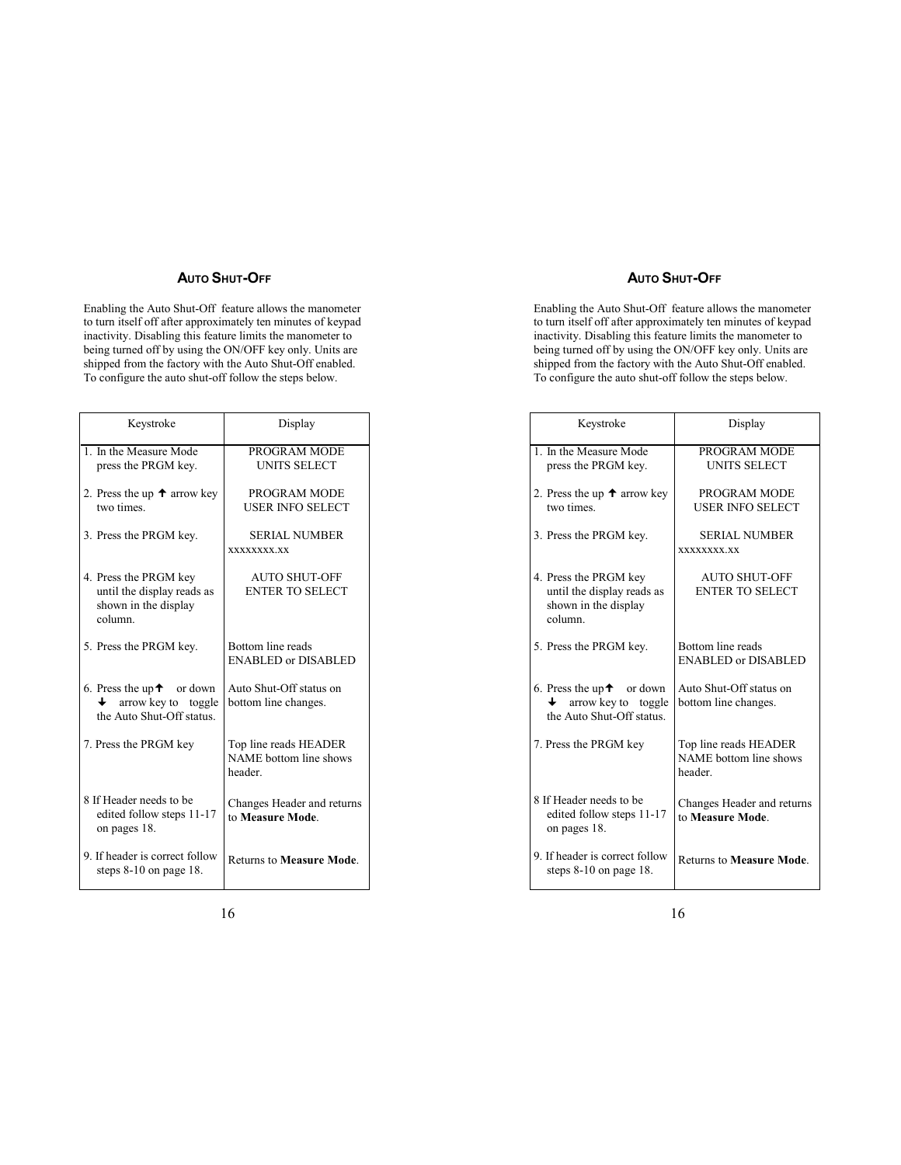# **AUTO SHUT-OFF**

Enabling the Auto Shut-Off feature allows the manometer to turn itself off after approximately ten minutes of keypad inactivity. Disabling this feature limits the manometer to being turned off by using the ON/OFF key only. Units are shipped from the factory with the Auto Shut-Off enabled. To configure the auto shut-off follow the steps below.

| Keystroke                                                                              | Display                                                   |
|----------------------------------------------------------------------------------------|-----------------------------------------------------------|
| 1. In the Measure Mode<br>press the PRGM key.                                          | PROGRAM MODE<br><b>UNITS SELECT</b>                       |
| 2. Press the up $\uparrow$ arrow key<br>two times.                                     | PROGRAM MODE<br><b>USER INFO SELECT</b>                   |
| 3. Press the PRGM key.                                                                 | <b>SERIAL NUMBER</b><br><b>XXXXXXXX.XX</b>                |
| 4. Press the PRGM key<br>until the display reads as<br>shown in the display<br>column. | <b>AUTO SHUT-OFF</b><br><b>ENTER TO SELECT</b>            |
| 5. Press the PRGM key.                                                                 | Bottom line reads<br><b>ENABLED or DISABLED</b>           |
| 6. Press the up $\uparrow$ or down<br>arrow key to toggle<br>the Auto Shut-Off status. | Auto Shut-Off status on<br>bottom line changes.           |
| 7. Press the PRGM key                                                                  | Top line reads HEADER<br>NAME bottom line shows<br>header |
| 8 If Header needs to be<br>edited follow steps 11-17<br>on pages 18.                   | Changes Header and returns<br>to Measure Mode.            |
| 9. If header is correct follow<br>steps $8-10$ on page 18.                             | <b>Returns to Measure Mode.</b>                           |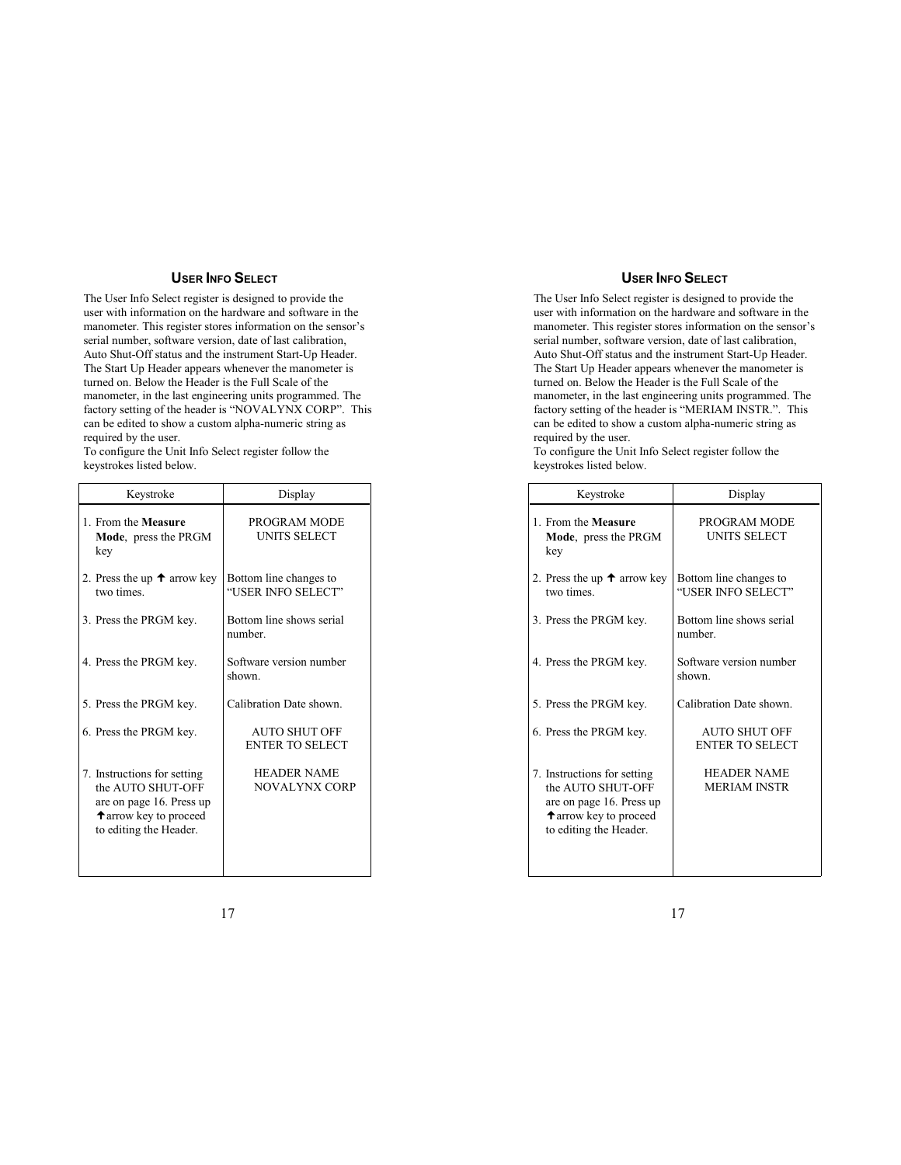## **USER INFO SELECT**

The User Info Select register is designed to provide the user with information on the hardware and software in the manometer. This register stores information on the sensor's serial number, software version, date of last calibration, Auto Shut-Off status and the instrument Start-Up Header. The Start Up Header appears whenever the manometer is turned on. Below the Header is the Full Scale of the manometer, in the last engineering units programmed. The factory setting of the header is "NOVALYNX CORP". This can be edited to show a custom alpha-numeric string as required by the user.

To configure the Unit Info Select register follow the keystrokes listed below.

| Keystroke                                                                                                                               | Display                                      |
|-----------------------------------------------------------------------------------------------------------------------------------------|----------------------------------------------|
| 1. From the Measure<br><b>Mode</b> , press the PRGM<br>key                                                                              | PROGRAM MODE<br>UNITS SELECT                 |
| 2. Press the up $\uparrow$ arrow key<br>two times.                                                                                      | Bottom line changes to<br>"USER INFO SELECT" |
| 3. Press the PRGM key.                                                                                                                  | Bottom line shows serial<br>number.          |
| 4. Press the PRGM key.                                                                                                                  | Software version number<br>shown.            |
| 5. Press the PRGM key.                                                                                                                  | Calibration Date shown.                      |
| 6. Press the PRGM key.                                                                                                                  | AUTO SHUT OFF<br><b>ENTER TO SELECT</b>      |
| 7. Instructions for setting<br>the AUTO SHUT-OFF<br>are on page 16. Press up<br><b>t</b> arrow key to proceed<br>to editing the Header. | <b>HEADER NAME</b><br><b>NOVALYNX CORP</b>   |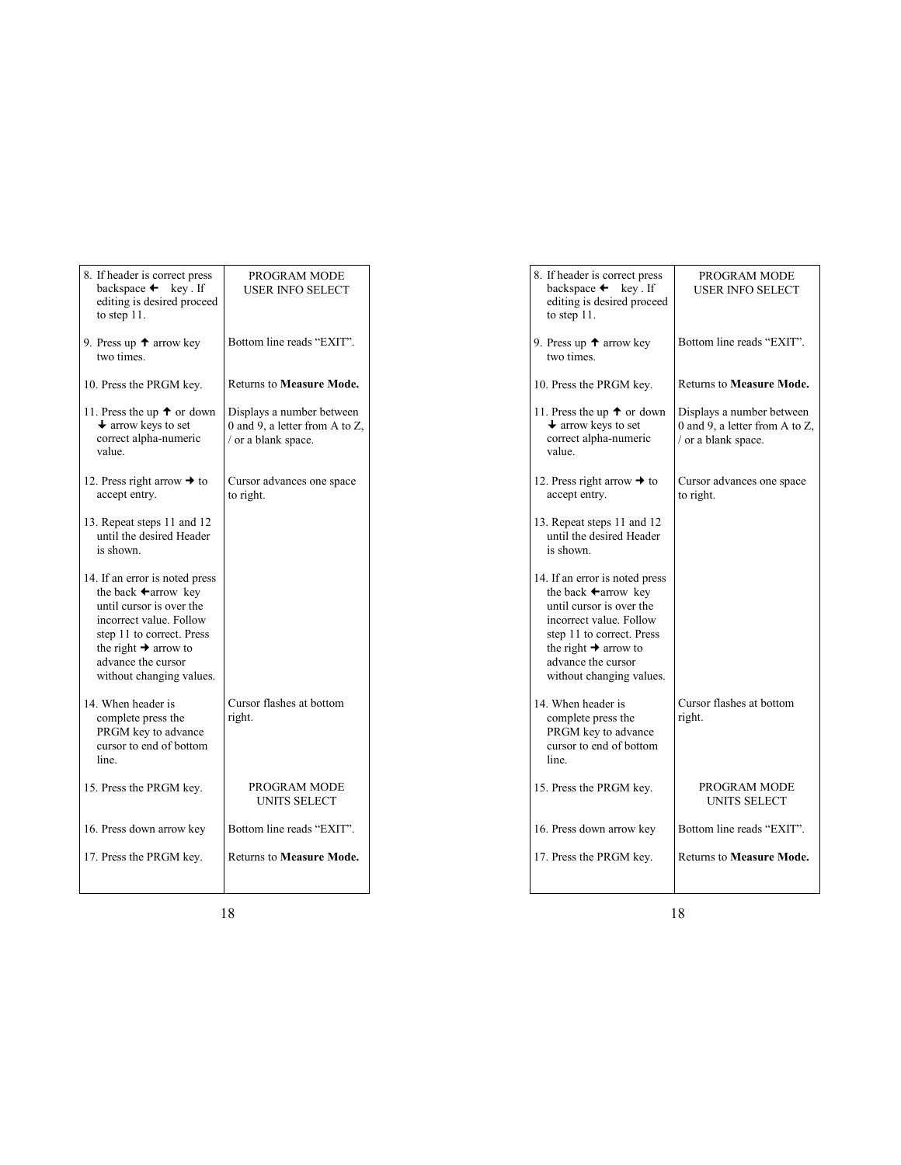| 8. If header is correct press<br>backspace $\leftarrow$<br>key. If<br>editing is desired proceed<br>to step $11$ .                                                                                                                          | PROGRAM MODE<br><b>USER INFO SELECT</b>                                            |
|---------------------------------------------------------------------------------------------------------------------------------------------------------------------------------------------------------------------------------------------|------------------------------------------------------------------------------------|
| 9. Press up $\uparrow$ arrow key<br>two times.                                                                                                                                                                                              | Bottom line reads "EXIT".                                                          |
| 10. Press the PRGM key.                                                                                                                                                                                                                     | <b>Returns to Measure Mode.</b>                                                    |
| 11. Press the up $\uparrow$ or down<br>$\blacklozenge$ arrow keys to set<br>correct alpha-numeric<br>value.                                                                                                                                 | Displays a number between<br>0 and 9, a letter from A to Z,<br>/ or a blank space. |
| 12. Press right arrow $\rightarrow$ to<br>accept entry.                                                                                                                                                                                     | Cursor advances one space<br>to right.                                             |
| 13. Repeat steps 11 and 12<br>until the desired Header<br>is shown.                                                                                                                                                                         |                                                                                    |
| 14. If an error is noted press<br>the back $\leftarrow$ arrow key<br>until cursor is over the<br>incorrect value. Follow<br>step 11 to correct. Press<br>the right $\rightarrow$ arrow to<br>advance the cursor<br>without changing values. |                                                                                    |
| 14. When header is<br>complete press the<br>PRGM key to advance<br>cursor to end of bottom<br>line.                                                                                                                                         | Cursor flashes at bottom<br>right.                                                 |
| 15. Press the PRGM key.                                                                                                                                                                                                                     | PROGRAM MODE<br><b>UNITS SELECT</b>                                                |
| 16. Press down arrow key                                                                                                                                                                                                                    | Bottom line reads "EXIT".                                                          |
| 17. Press the PRGM key.                                                                                                                                                                                                                     | <b>Returns to Measure Mode.</b>                                                    |
|                                                                                                                                                                                                                                             |                                                                                    |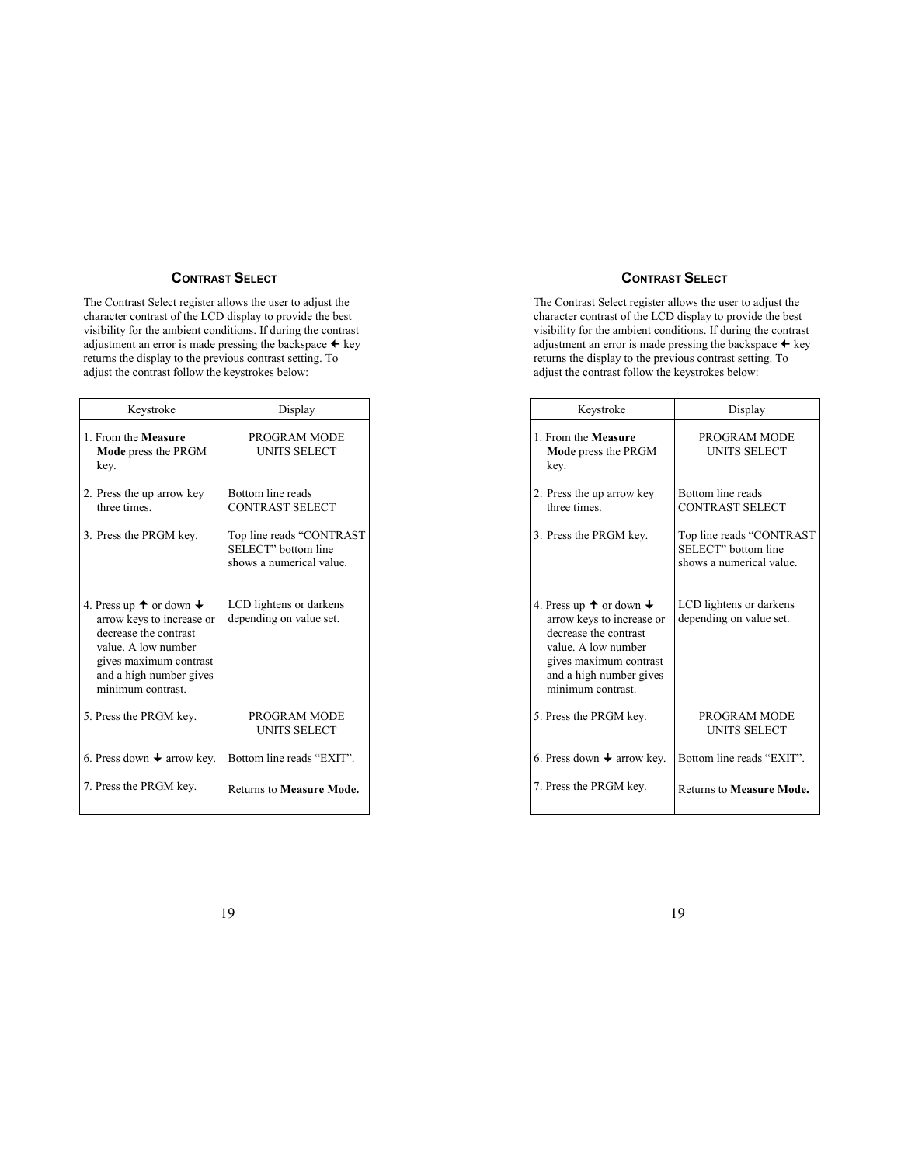### **CONTRAST SELECT**

The Contrast Select register allows the user to adjust the character contrast of the LCD display to provide the best visibility for the ambient conditions. If during the contrast adjustment an error is made pressing the backspace  $\leftarrow$  key returns the display to the previous contrast setting. To adjust the contrast follow the keystrokes below:

| Keystroke                                                                                                                                                                                          | Display                                                                     |
|----------------------------------------------------------------------------------------------------------------------------------------------------------------------------------------------------|-----------------------------------------------------------------------------|
| 1. From the Measure<br><b>Mode</b> press the PRGM<br>key.                                                                                                                                          | PROGRAM MODE<br>UNITS SELECT                                                |
| 2. Press the up arrow key<br>three times                                                                                                                                                           | Bottom line reads<br><b>CONTRAST SELECT</b>                                 |
| 3. Press the PRGM key.                                                                                                                                                                             | Top line reads "CONTRAST<br>SELECT" bottom line<br>shows a numerical value. |
| 4. Press up $\uparrow$ or down $\downarrow$<br>arrow keys to increase or<br>decrease the contrast<br>value. A low number<br>gives maximum contrast<br>and a high number gives<br>minimum contrast. | LCD lightens or darkens<br>depending on value set.                          |
| 5. Press the PRGM key.                                                                                                                                                                             | PROGRAM MODE<br>UNITS SELECT                                                |
| 6. Press down $\blacklozenge$ arrow key.                                                                                                                                                           | Bottom line reads "EXIT".                                                   |
| 7. Press the PRGM key.                                                                                                                                                                             | <b>Returns to Measure Mode.</b>                                             |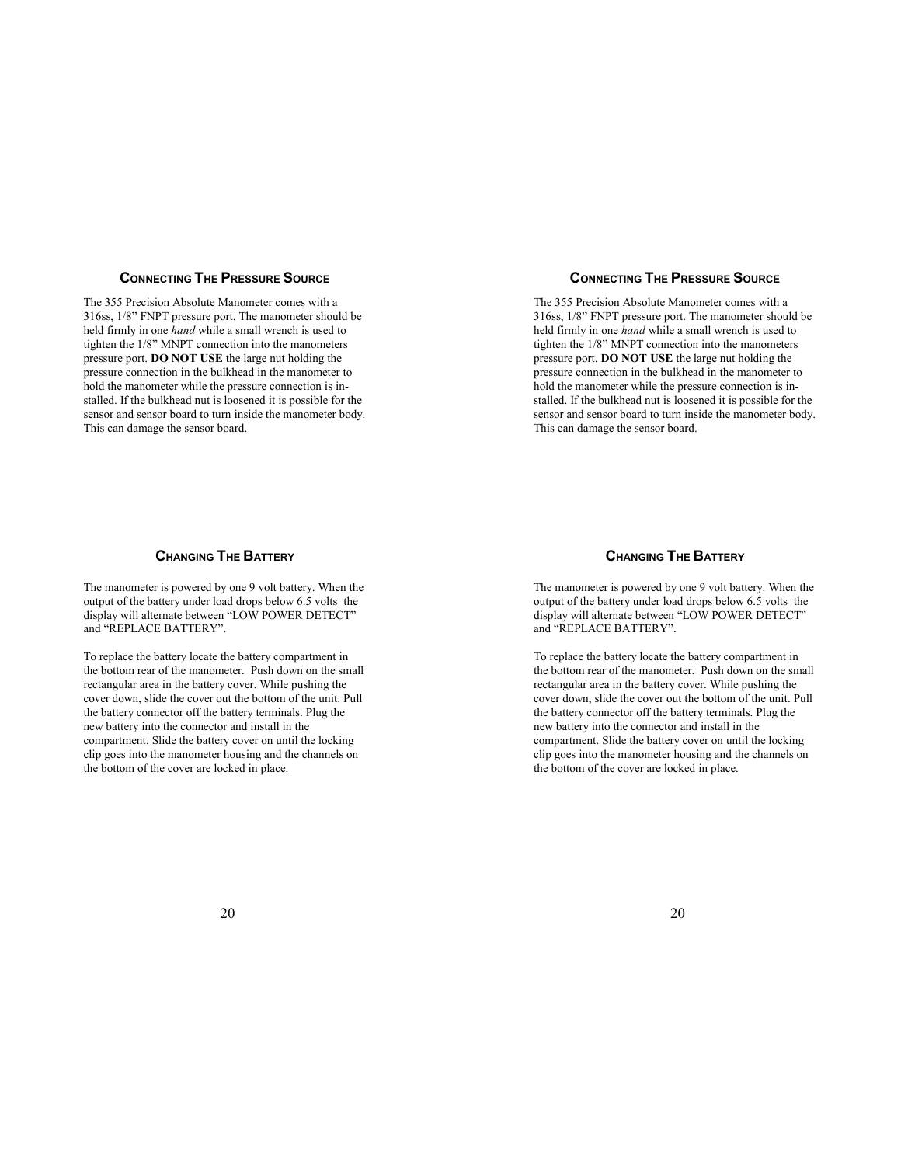### **CONNECTING THE PRESSURE SOURCE**

The 355 Precision Absolute Manometer comes with a 316ss, 1/8" FNPT pressure port. The manometer should be held firmly in one *hand* while a small wrench is used to tighten the 1/8" MNPT connection into the manometers pressure port. **DO NOT USE** the large nut holding the pressure connection in the bulkhead in the manometer to hold the manometer while the pressure connection is installed. If the bulkhead nut is loosened it is possible for the sensor and sensor board to turn inside the manometer body. This can damage the sensor board.

### **CHANGING THE BATTERY**

The manometer is powered by one 9 volt battery. When the output of the battery under load drops below 6.5 volts the display will alternate between "LOW POWER DETECT" and "REPLACE BATTERY".

To replace the battery locate the battery compartment in the bottom rear of the manometer. Push down on the small rectangular area in the battery cover. While pushing the cover down, slide the cover out the bottom of the unit. Pull the battery connector off the battery terminals. Plug the new battery into the connector and install in the compartment. Slide the battery cover on until the locking clip goes into the manometer housing and the channels on the bottom of the cover are locked in place.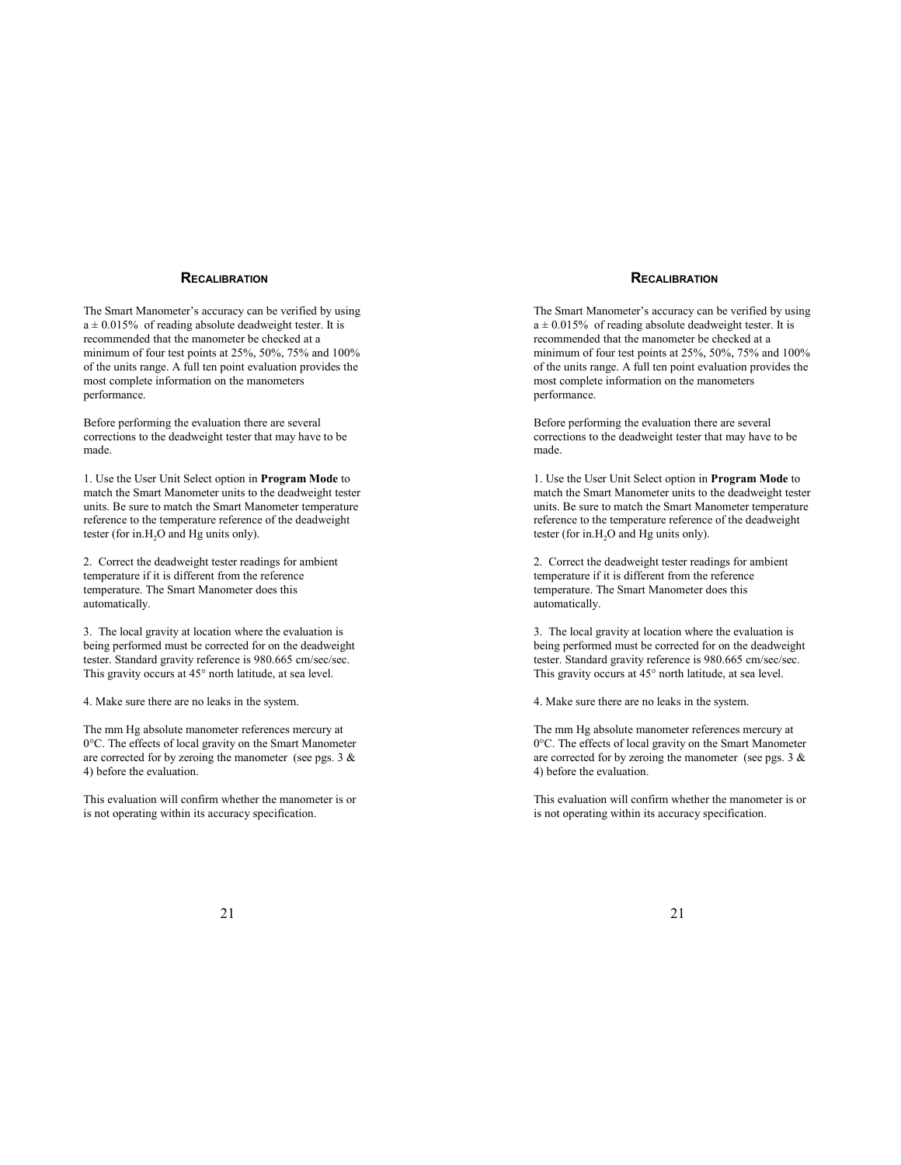### **RECALIBRATION**

The Smart Manometer's accuracy can be verified by using  $a \pm 0.015\%$  of reading absolute deadweight tester. It is recommended that the manometer be checked at a minimum of four test points at 25%, 50%, 75% and 100% of the units range. A full ten point evaluation provides the most complete information on the manometers performance.

Before performing the evaluation there are several corrections to the deadweight tester that may have to be made.

1. Use the User Unit Select option in **Program Mode** to match the Smart Manometer units to the deadweight tester units. Be sure to match the Smart Manometer temperature reference to the temperature reference of the deadweight tester (for in  $H<sub>2</sub>O$  and  $Hg$  units only).

2. Correct the deadweight tester readings for ambient temperature if it is different from the reference temperature. The Smart Manometer does this automatically.

3. The local gravity at location where the evaluation is being performed must be corrected for on the deadweight tester. Standard gravity reference is 980.665 cm/sec/sec. This gravity occurs at 45° north latitude, at sea level.

4. Make sure there are no leaks in the system.

The mm Hg absolute manometer references mercury at 0°C. The effects of local gravity on the Smart Manometer are corrected for by zeroing the manometer (see pgs.  $3 \&$ 4) before the evaluation.

This evaluation will confirm whether the manometer is or is not operating within its accuracy specification.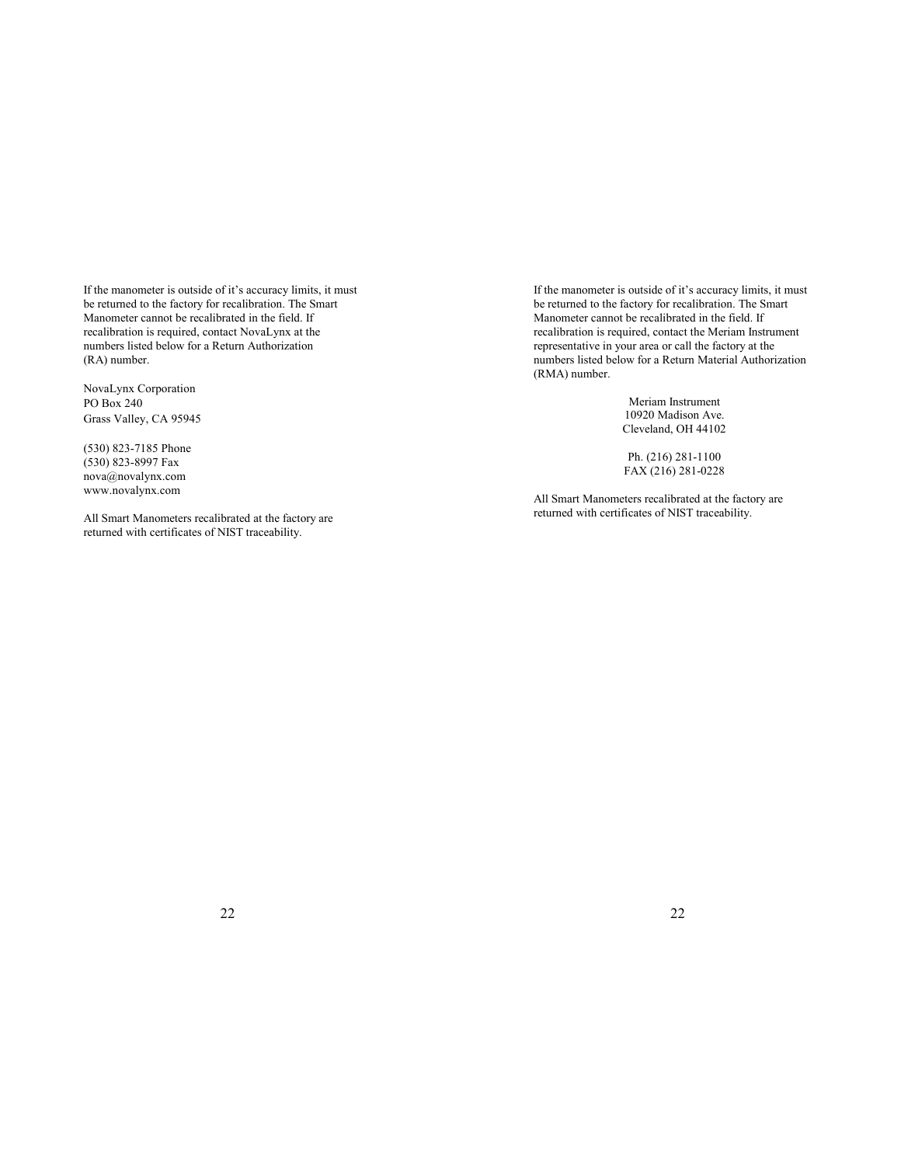If the manometer is outside of it's accuracy limits, it must be returned to the factory for recalibration. The Smart Manometer cannot be recalibrated in the field. If recalibration is required, contact NovaLynx at the numbers listed below for a Return Authorization (RA) number.

NovaLynx Corporation PO Box 240 Grass Valley, CA 95945

(530) 823-7185 Phone (530) 823-8997 Fax [nova@novalynx.com](mailto:nova@novalynx.com) [www.novalynx.com](http://www.novalynx.com) 

All Smart Manometers recalibrated at the factory are returned with certificates of NIST traceability.